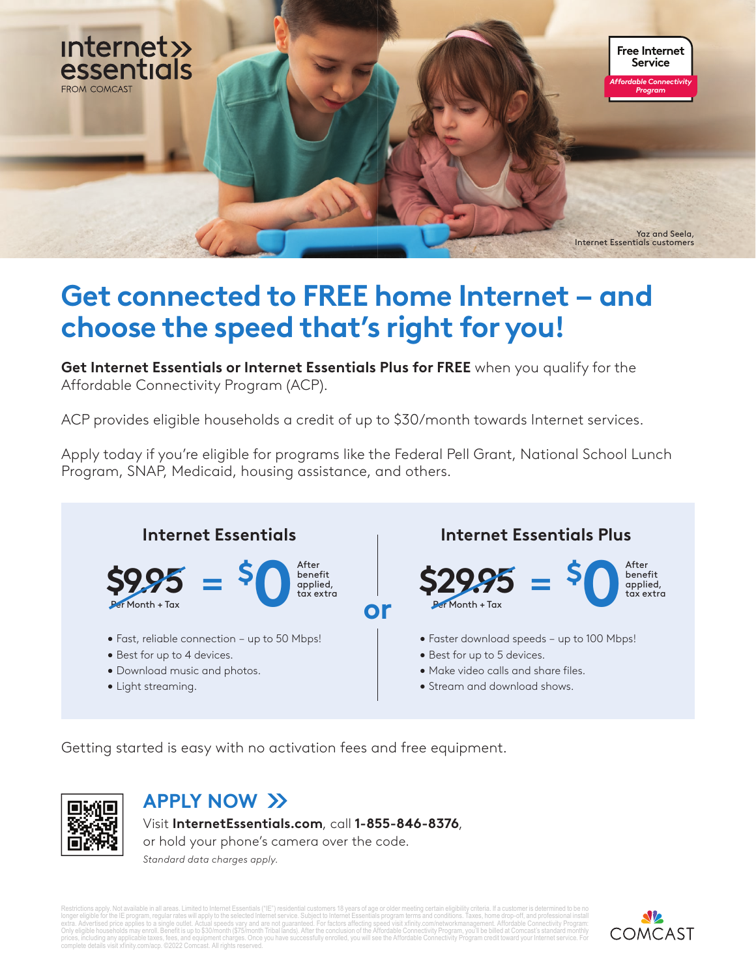

## **Get connected to FREE home Internet – and choose the speed that's right for you!**

**Get Internet Essentials or Internet Essentials Plus for FREE** when you qualify for the Affordable Connectivity Program (ACP).

ACP provides eligible households a credit of up to \$30/month towards Internet services.

Apply today if you're eligible for programs like the Federal Pell Grant, National School Lunch Program, SNAP, Medicaid, housing assistance, and others.



Getting started is easy with no activation fees and free equipment.



## **APPLY NOW**

Visit **InternetEssentials.com**, call **1-855-846-8376**, or hold your phone's camera over the code. *Standard data charges apply.*

Restrictions apply. Not available in all areas. Limited to Internet Essentials ("IE") residential customers 18 years of age or older meeting certain eligibility criteria. If a customer is determined to be no<br>longer eligibl prices, including any applicable taxes, fees, and equipment charges. Once you have successfully enrolled, you will see the Affordable Connectivity Program credit toward your Internet service. For<br>complete details visit xfi